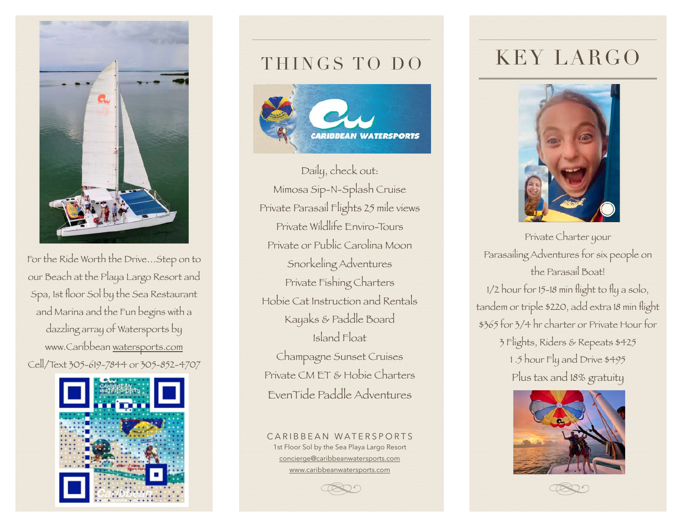

For the Ride Worth the Drive…Step on to our Beach at the Playa Largo Resort and Spa, 1st floor Sol by the Sea Restaurant and Marina and the Fun begins with a dazzling array of Watersports by www.Caribbean [watersports.com](http://watersports.com) Cell/Text 305-619-7844 or 305-852-4707



# THINGS TO DO



Daily, check out: Mimosa Sip-N-Splash Cruise Private Parasail Flights 25 mile views Private Wildlife Enviro-Tours Private or Public Carolina Moon Snorkeling Adventures Private Fishing Charters Hobie Cat Instruction and Rentals Kayaks & Paddle Board Island Float Champagne Sunset Cruises Private CM ET & Hobie Charters EvenTide Paddle Adventures

CARIBBEAN WATERSPORTS 1st Floor Sol by the Sea Playa Largo Resort [concierge@caribbeanwatersports.com](mailto:concierge@caribbeanwatersports.com) [www.caribbeanwatersports.com](http://www.caribbeanwatersports.com)

KEY LARGO



Private Charter your Parasailing Adventures for six people on the Parasail Boat!

1/2 hour for 15-18 min flight to fly a solo, tandem or triple \$220, add extra 18 min flight \$365 for 3/4 hr charter or Private Hour for 3 Flights, Riders & Repeats \$425 1 .5 hour Fly and Drive \$495 Plus tax and 18% gratuity